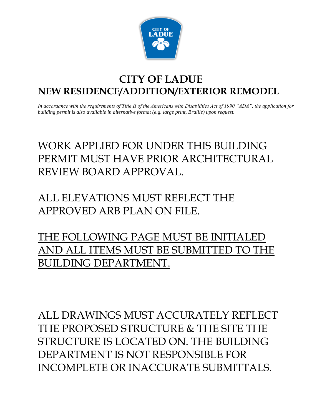

### **CITY OF LADUE NEW RESIDENCE/ADDITION/EXTERIOR REMODEL**

*In accordance with the requirements of Title II of the Americans with Disabilities Act of 1990 "ADA", the application for building permit is also available in alternative format (e.g. large print, Braille) upon request.*

# WORK APPLIED FOR UNDER THIS BUILDING PERMIT MUST HAVE PRIOR ARCHITECTURAL REVIEW BOARD APPROVAL.

## ALL ELEVATIONS MUST REFLECT THE APPROVED ARB PLAN ON FILE.

THE FOLLOWING PAGE MUST BE INITIALED AND ALL ITEMS MUST BE SUBMITTED TO THE BUILDING DEPARTMENT.

ALL DRAWINGS MUST ACCURATELY REFLECT THE PROPOSED STRUCTURE & THE SITE THE STRUCTURE IS LOCATED ON. THE BUILDING DEPARTMENT IS NOT RESPONSIBLE FOR INCOMPLETE OR INACCURATE SUBMITTALS.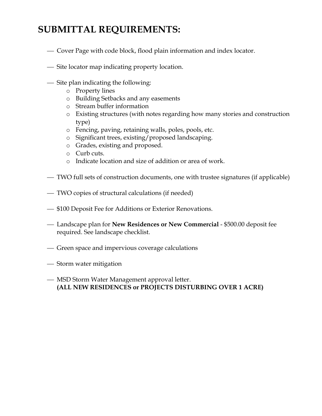### **SUBMITTAL REQUIREMENTS:**

- ⎯ Cover Page with code block, flood plain information and index locator.
- Site locator map indicating property location.
- ⎯ Site plan indicating the following:
	- o Property lines
	- o Building Setbacks and any easements
	- o Stream buffer information
	- o Existing structures (with notes regarding how many stories and construction type)
	- o Fencing, paving, retaining walls, poles, pools, etc.
	- o Significant trees, existing/proposed landscaping.
	- o Grades, existing and proposed.
	- o Curb cuts.
	- o Indicate location and size of addition or area of work.
- ⎯ TWO full sets of construction documents, one with trustee signatures (if applicable)
- ⎯ TWO copies of structural calculations (if needed)
- ⎯ \$100 Deposit Fee for Additions or Exterior Renovations.
- ⎯ Landscape plan for **New Residences or New Commercial** \$500.00 deposit fee required. See landscape checklist.
- ⎯ Green space and impervious coverage calculations
- ⎯ Storm water mitigation
- MSD Storm Water Management approval letter. **(ALL NEW RESIDENCES or PROJECTS DISTURBING OVER 1 ACRE)**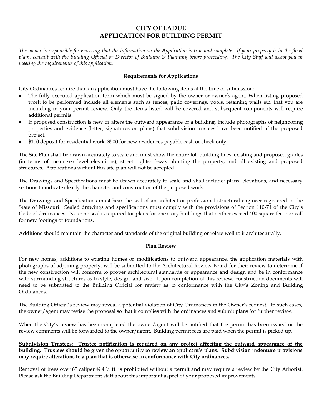#### **CITY OF LADUE APPLICATION FOR BUILDING PERMIT**

*The owner is responsible for ensuring that the information on the Application is true and complete. If your property is in the flood plain, consult with the Building Official or Director of Building & Planning before proceeding. The City Staff will assist you in meeting the requirements of this application.*

#### **Requirements for Applications**

City Ordinances require than an application must have the following items at the time of submission:

- The fully executed application form which must be signed by the owner or owner's agent. When listing proposed work to be performed include all elements such as fences, patio coverings, pools, retaining walls etc. that you are including in your permit review. Only the items listed will be covered and subsequent components will require additional permits.
- If proposed construction is new or alters the outward appearance of a building, include photographs of neighboring properties and evidence (letter, signatures on plans) that subdivision trustees have been notified of the proposed project.
- \$100 deposit for residential work, \$500 for new residences payable cash or check only.

The Site Plan shall be drawn accurately to scale and must show the entire lot, building lines, existing and proposed grades (in terms of mean sea level elevations), street rights-of-way abutting the property, and all existing and proposed structures. Applications without this site plan will not be accepted.

The Drawings and Specifications must be drawn accurately to scale and shall include: plans, elevations, and necessary sections to indicate clearly the character and construction of the proposed work.

The Drawings and Specifications must bear the seal of an architect or professional structural engineer registered in the State of Missouri. Sealed drawings and specifications must comply with the provisions of Section 110-71 of the City's Code of Ordinances. Note: no seal is required for plans for one story buildings that neither exceed 400 square feet nor call for new footings or foundations.

Additions should maintain the character and standards of the original building or relate well to it architecturally.

#### **Plan Review**

For new homes, additions to existing homes or modifications to outward appearance, the application materials with photographs of adjoining property, will be submitted to the Architectural Review Board for their review to determine if the new construction will conform to proper architectural standards of appearance and design and be in conformance with surrounding structures as to style, design, and size. Upon completion of this review, construction documents will need to be submitted to the Building Official for review as to conformance with the City's Zoning and Building Ordinances.

The Building Official's review may reveal a potential violation of City Ordinances in the Owner's request. In such cases, the owner/agent may revise the proposal so that it complies with the ordinances and submit plans for further review.

When the City's review has been completed the owner/agent will be notified that the permit has been issued or the review comments will be forwarded to the owner/agent. Building permit fees are paid when the permit is picked up.

**Subdivision Trustees: Trustee notification is required on any project affecting the outward appearance of the building. Trustees should be given the opportunity to review an applicant's plans. Subdivision indenture provisions may require alterations to a plan that is otherwise in conformance with City ordinances.**

Removal of trees over 6" caliper @ 4 ½ ft. is prohibited without a permit and may require a review by the City Arborist. Please ask the Building Department staff about this important aspect of your proposed improvements.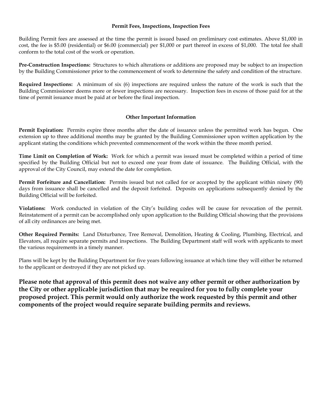#### **Permit Fees, Inspections, Inspection Fees**

Building Permit fees are assessed at the time the permit is issued based on preliminary cost estimates. Above \$1,000 in cost, the fee is \$5.00 (residential) or \$6.00 (commercial) per \$1,000 or part thereof in excess of \$1,000. The total fee shall conform to the total cost of the work or operation.

**Pre-Construction Inspections:** Structures to which alterations or additions are proposed may be subject to an inspection by the Building Commissioner prior to the commencement of work to determine the safety and condition of the structure.

**Required Inspections:** A minimum of six (6) inspections are required unless the nature of the work is such that the Building Commissioner deems more or fewer inspections are necessary. Inspection fees in excess of those paid for at the time of permit issuance must be paid at or before the final inspection.

#### **Other Important Information**

**Permit Expiration:** Permits expire three months after the date of issuance unless the permitted work has begun. One extension up to three additional months may be granted by the Building Commissioner upon written application by the applicant stating the conditions which prevented commencement of the work within the three month period.

**Time Limit on Completion of Work:** Work for which a permit was issued must be completed within a period of time specified by the Building Official but not to exceed one year from date of issuance. The Building Official, with the approval of the City Council, may extend the date for completion.

**Permit Forfeiture and Cancellation:** Permits issued but not called for or accepted by the applicant within ninety (90) days from issuance shall be cancelled and the deposit forfeited. Deposits on applications subsequently denied by the Building Official will be forfeited.

**Violations:** Work conducted in violation of the City's building codes will be cause for revocation of the permit. Reinstatement of a permit can be accomplished only upon application to the Building Official showing that the provisions of all city ordinances are being met.

**Other Required Permits:** Land Disturbance, Tree Removal, Demolition, Heating & Cooling, Plumbing, Electrical, and Elevators, all require separate permits and inspections. The Building Department staff will work with applicants to meet the various requirements in a timely manner.

Plans will be kept by the Building Department for five years following issuance at which time they will either be returned to the applicant or destroyed if they are not picked up.

**Please note that approval of this permit does not waive any other permit or other authorization by the City or other applicable jurisdiction that may be required for you to fully complete your proposed project. This permit would only authorize the work requested by this permit and other components of the project would require separate building permits and reviews.**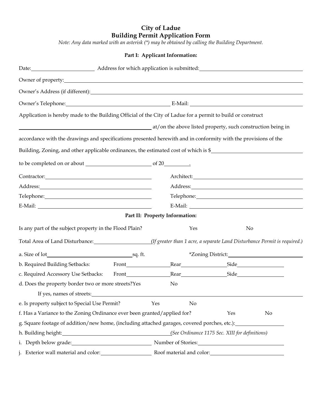### **City of Ladue Building Permit Application Form**

*Note: Any data marked with an asterisk (\*) may be obtained by calling the Building Department.*

|                                                                                                                 | Part I: Applicant Information: |                                                                                                                                                                                                                                |    |  |
|-----------------------------------------------------------------------------------------------------------------|--------------------------------|--------------------------------------------------------------------------------------------------------------------------------------------------------------------------------------------------------------------------------|----|--|
|                                                                                                                 |                                |                                                                                                                                                                                                                                |    |  |
| Owner of property: <u>contained a set of property:</u>                                                          |                                |                                                                                                                                                                                                                                |    |  |
|                                                                                                                 |                                |                                                                                                                                                                                                                                |    |  |
| Owner's Telephone: Communication E-Mail: Communication E-Mail:                                                  |                                |                                                                                                                                                                                                                                |    |  |
|                                                                                                                 |                                |                                                                                                                                                                                                                                |    |  |
| Application is hereby made to the Building Official of the City of Ladue for a permit to build or construct     |                                |                                                                                                                                                                                                                                |    |  |
| at/on the above listed property, such construction being in                                                     |                                |                                                                                                                                                                                                                                |    |  |
| accordance with the drawings and specifications presented herewith and in conformity with the provisions of the |                                |                                                                                                                                                                                                                                |    |  |
| Building, Zoning, and other applicable ordinances, the estimated cost of which is \$                            |                                |                                                                                                                                                                                                                                |    |  |
|                                                                                                                 |                                |                                                                                                                                                                                                                                |    |  |
| Contractor: Contractor:                                                                                         |                                | Architect: National Architect:                                                                                                                                                                                                 |    |  |
|                                                                                                                 |                                | Address: Andreas Address and Address and Address and Address and Address and Address and Address and Address and Address and Address and Address and Address and Address and Address and Address and Address and Address and A |    |  |
| Telephone: Telephone:                                                                                           |                                | Telephone: The Contract of the Contract of the Contract of the Contract of the Contract of the Contract of the Contract of the Contract of the Contract of the Contract of the Contract of the Contract of the Contract of the |    |  |
|                                                                                                                 |                                |                                                                                                                                                                                                                                |    |  |
|                                                                                                                 | Part II: Property Information: |                                                                                                                                                                                                                                |    |  |
| Is any part of the subject property in the Flood Plain?                                                         | Yes                            | No                                                                                                                                                                                                                             |    |  |
| Total Area of Land Disturbance: (If greater than 1 acre, a separate Land Disturbance Permit is required.)       |                                |                                                                                                                                                                                                                                |    |  |
|                                                                                                                 |                                | <i>*Zoning District:</i>                                                                                                                                                                                                       |    |  |
| b. Required Building Setbacks: Front Rear Rear Side                                                             |                                |                                                                                                                                                                                                                                |    |  |
| c. Required Accessory Use Setbacks: Front Rear Rear Rear Side Key                                               |                                |                                                                                                                                                                                                                                |    |  |
| d. Does the property border two or more streets?Yes                                                             | No                             |                                                                                                                                                                                                                                |    |  |
| If yes, names of streets:                                                                                       |                                |                                                                                                                                                                                                                                |    |  |
| e. Is property subject to Special Use Permit?                                                                   | Yes<br>No                      |                                                                                                                                                                                                                                |    |  |
| f. Has a Variance to the Zoning Ordinance ever been granted/applied for?                                        |                                | Yes                                                                                                                                                                                                                            | No |  |
| g. Square footage of addition/new home, (including attached garages, covered porches, etc.): ________________   |                                |                                                                                                                                                                                                                                |    |  |
| h. Building height:                                                                                             |                                | (See Ordinance 1175 Sec. XIII for definitions)                                                                                                                                                                                 |    |  |
| i. Depth below grade: Number of Stories: Number of Stories:                                                     |                                |                                                                                                                                                                                                                                |    |  |
|                                                                                                                 |                                | Roof material and color:<br><u>Letting</u> the material and color:                                                                                                                                                             |    |  |